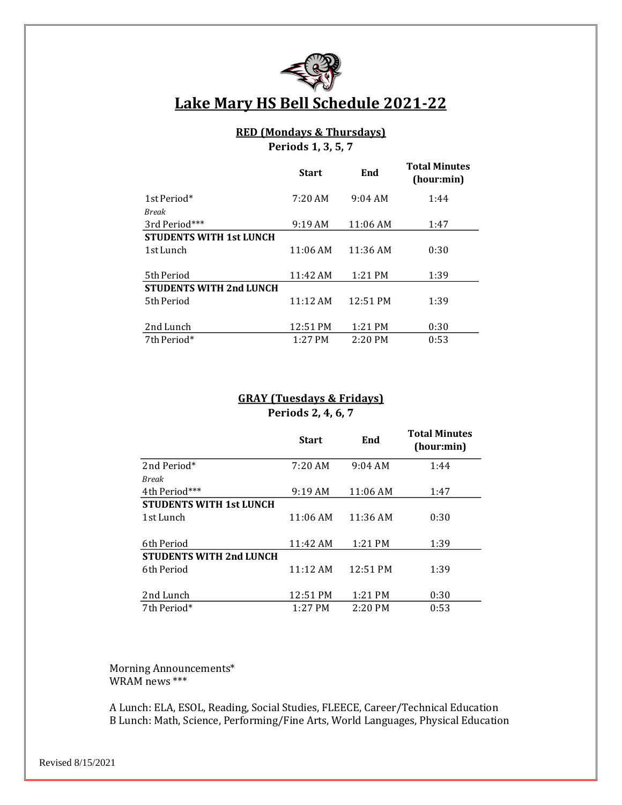

## **Lake Mary HS Bell Schedule 2021-22**

### **RED (Mondays & Thursdays) Periods 1, 3, 5, 7**

|                                | <b>Start</b> | End        | <b>Total Minutes</b><br>(hour:min) |
|--------------------------------|--------------|------------|------------------------------------|
| 1st Period*                    | $7:20$ AM    | $9:04$ AM  | 1:44                               |
| Break                          |              |            |                                    |
| 3rd Period***                  | $9:19$ AM    | 11:06 AM   | 1:47                               |
| <b>STUDENTS WITH 1st LUNCH</b> |              |            |                                    |
| 1st Lunch                      | $11:06$ AM   | $11:36$ AM | 0:30                               |
| 5th Period                     | 11:42 AM     | $1:21$ PM  | 1:39                               |
| <b>STUDENTS WITH 2nd LUNCH</b> |              |            |                                    |
| 5th Period                     | 11:12AM      | 12:51 PM   | 1:39                               |
| 2nd Lunch                      | 12:51 PM     | $1:21$ PM  | 0:30                               |
| 7th Period*                    | $1:27$ PM    | $2:20$ PM  | 0:53                               |

# **GRAY (Tuesdays & Fridays)**

**Periods 2, 4, 6, 7**

|                                | <b>Start</b> | End        | <b>Total Minutes</b><br>(hour:min) |
|--------------------------------|--------------|------------|------------------------------------|
| 2nd Period*                    | 7:20 AM      | $9:04$ AM  | 1:44                               |
| Break                          |              |            |                                    |
| 4th Period***                  | 9:19AM       | 11:06 AM   | 1:47                               |
| <b>STUDENTS WITH 1st LUNCH</b> |              |            |                                    |
| 1st Lunch                      | $11:06$ AM   | $11:36$ AM | 0:30                               |
|                                |              |            |                                    |
| 6th Period                     | 11:42 AM     | $1:21$ PM  | 1:39                               |
| <b>STUDENTS WITH 2nd LUNCH</b> |              |            |                                    |
| 6th Period                     | 11:12AM      | 12:51 PM   | 1:39                               |
|                                |              |            |                                    |
| 2nd Lunch                      | 12:51 PM     | 1:21 PM    | 0:30                               |
| 7th Period*                    | $1:27$ PM    | $2:20$ PM  | 0:53                               |

Morning Announcements\* WRAM news \*\*\*

A Lunch: ELA, ESOL, Reading, Social Studies, FLEECE, Career/Technical Education B Lunch: Math, Science, Performing/Fine Arts, World Languages, Physical Education